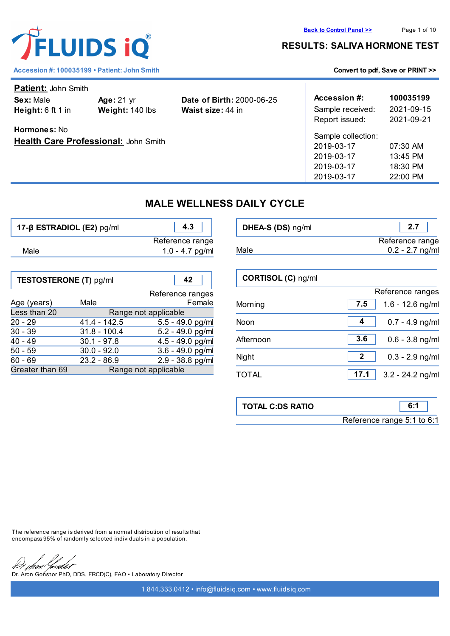| <b>Patient: John Smith</b>           |                   |                                  |                    |            |  |
|--------------------------------------|-------------------|----------------------------------|--------------------|------------|--|
| Sex: Male                            | <b>Age: 21 yr</b> | <b>Date of Birth: 2000-06-25</b> | Accession #:       | 100035199  |  |
| Height: $6 \text{ ft } 1 \text{ in}$ | Weight: 140 lbs   | <b>Waist size: 44 in</b>         | Sample received:   | 2021-09-15 |  |
|                                      |                   |                                  | Report issued:     | 2021-09-21 |  |
| <b>Hormones: No</b>                  |                   |                                  |                    |            |  |
| Health Care Professional: John Smith |                   |                                  | Sample collection: |            |  |
|                                      |                   |                                  | 2019-03-17         | 07:30 AM   |  |
|                                      |                   |                                  | 2019-03-17         | 13:45 PM   |  |
|                                      |                   |                                  | 2019-03-17         | 18:30 PM   |  |
|                                      |                   |                                  | 2019-03-17         | 22:00 PM   |  |
|                                      |                   |                                  |                    |            |  |

# **MALE WELLNESS DAILY CYCLE**

| 17-ß ESTRADIOL (E2) pg/ml     |                      | 4.3                  | DHEA-S (DS) ng/ml  | 2.7                        |
|-------------------------------|----------------------|----------------------|--------------------|----------------------------|
|                               |                      | Reference range      |                    | Reference range            |
| Male                          |                      | $1.0 - 4.7$ pg/ml    | Male               | $0.2 - 2.7$ ng/ml          |
| <b>TESTOSTERONE (T) pg/ml</b> |                      | 42                   | CORTISOL (C) ng/ml |                            |
|                               |                      | Reference ranges     |                    | Reference ranges           |
| Age (years)                   | Male                 | Female               | Morning            | 7.5<br>$1.6 - 12.6$ ng/ml  |
| Less than 20                  | Range not applicable |                      |                    |                            |
| $20 - 29$                     | $41.4 - 142.5$       | $5.5 - 49.0$ pg/ml   | <b>Noon</b>        | $0.7 - 4.9$ ng/ml<br>4     |
| $30 - 39$                     | $31.8 - 100.4$       | 5.2 - 49.0 pg/ml     |                    |                            |
| $40 - 49$                     | $30.1 - 97.8$        | $4.5 - 49.0$ pg/ml   | Afternoon          | 3.6<br>$0.6 - 3.8$ ng/ml   |
| $50 - 59$                     | $30.0 - 92.0$        | $3.6 - 49.0$ pg/ml   |                    |                            |
| $60 - 69$                     | $23.2 - 86.9$        | $2.9 - 38.8$ pg/ml   | Night              | 2<br>$0.3 - 2.9$ ng/ml     |
| Greater than 69               |                      | Range not applicable | <b>TOTAL</b>       | 17.1<br>$3.2 - 24.2$ ng/ml |
|                               |                      |                      |                    |                            |

| <b>TOTAL C:DS RATIO</b> |                            |
|-------------------------|----------------------------|
|                         | Reference range 5:1 to 6:1 |

The reference range is derived from a normal distribution of results that encompass 95% of randomly selected individuals in a population.

Youdet

Http:///www.facedoclectrical/defterminal/defterminal/defterminal/defterminal/defterminal/defterminal/defterminal/defterminal/defterminal/defterminal/defterminal/defterminal/defterminal/defterminal/defterminal/defterminal/d



Accession #: 100035199 • Patient: John Smith **[Convert to pdf, Save or PRINT >>](convert_pdf.php?var=stage.fluidsiq.com/reports/graph_rep/male_wdc.php?codelnk=3519accb238b2add6470016df5c8feb7ea6e36d46a183bd76ef10a06d23cbe5b&codelnk=3519accb238b2add6470016df5c8feb7ea6e36d46a183bd76ef10a06d23cbe5b&client=100035199)**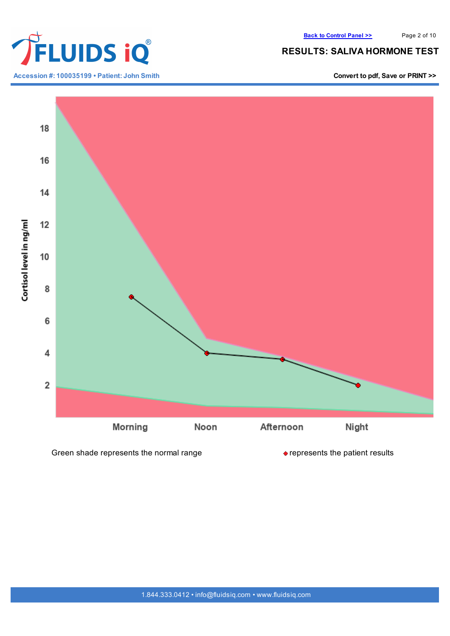

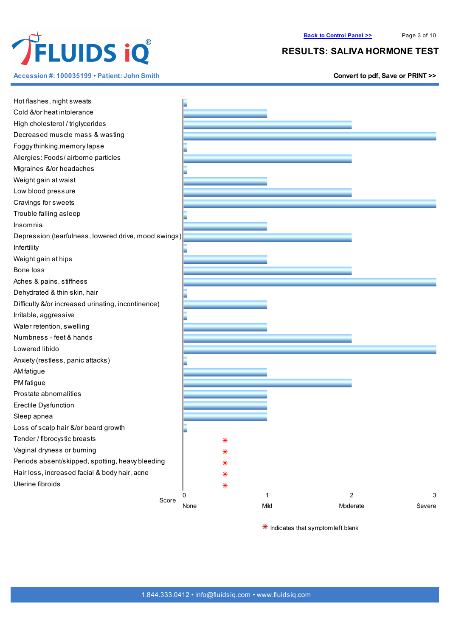

**Accession #: 100035199 • Patient: John Smith [Convert](convert_pdf.php?var=stage.fluidsiq.com/reports/graph_rep/male_wdc.php?codelnk=3519accb238b2add6470016df5c8feb7ea6e36d46a183bd76ef10a06d23cbe5b&codelnk=3519accb238b2add6470016df5c8feb7ea6e36d46a183bd76ef10a06d23cbe5b&client=100035199) to pdf, Save or PRINT >>**

## **RESULTS: SALIVA HORMONE TEST**

| Hot flashes, night sweats                            |      |      |                |        |
|------------------------------------------------------|------|------|----------------|--------|
| Cold &/or heat intolerance                           |      |      |                |        |
| High cholesterol / triglycerides                     |      |      |                |        |
| Decreased muscle mass & wasting                      |      |      |                |        |
| Foggy thinking, memory lapse                         |      |      |                |        |
| Allergies: Foods/airborne particles                  |      |      |                |        |
| Migraines &/or headaches                             |      |      |                |        |
|                                                      |      |      |                |        |
| Weight gain at waist                                 |      |      |                |        |
| Low blood pressure                                   |      |      |                |        |
| Cravings for sweets                                  |      |      |                |        |
| Trouble falling asleep                               |      |      |                |        |
| Insomnia                                             |      |      |                |        |
| Depression (tearfulness, lowered drive, mood swings) |      |      |                |        |
| Infertility                                          |      |      |                |        |
| Weight gain at hips                                  |      |      |                |        |
| Bone loss                                            |      |      |                |        |
| Aches & pains, stiffness                             |      |      |                |        |
| Dehydrated & thin skin, hair                         |      |      |                |        |
| Difficulty &/or increased urinating, incontinence)   |      |      |                |        |
| Irritable, aggressive                                |      |      |                |        |
| Water retention, swelling                            |      |      |                |        |
| Numbness - feet & hands                              |      |      |                |        |
| Lowered libido                                       |      |      |                |        |
| Anxiety (restless, panic attacks)                    |      |      |                |        |
| AM fatigue                                           |      |      |                |        |
| PM fatigue                                           |      |      |                |        |
| Prostate abnomalities                                |      |      |                |        |
| Erectile Dysfunction                                 |      |      |                |        |
| Sleep apnea                                          |      |      |                |        |
| Loss of scalp hair &/or beard growth                 |      |      |                |        |
| Tender / fibrocystic breasts                         | ⋇    |      |                |        |
| Vaginal dryness or burning                           |      |      |                |        |
| Periods absent/skipped, spotting, heavy bleeding     | ⋇    |      |                |        |
| Hair loss, increased facial & body hair, acne        |      |      |                |        |
| Uterine fibroids                                     | ∗    |      |                |        |
|                                                      | 0    | 1    | $\overline{c}$ | 3      |
| Score                                                | None | Mild | Moderate       | Severe |
|                                                      |      |      |                |        |

 $*$  Indicates that symptom left blank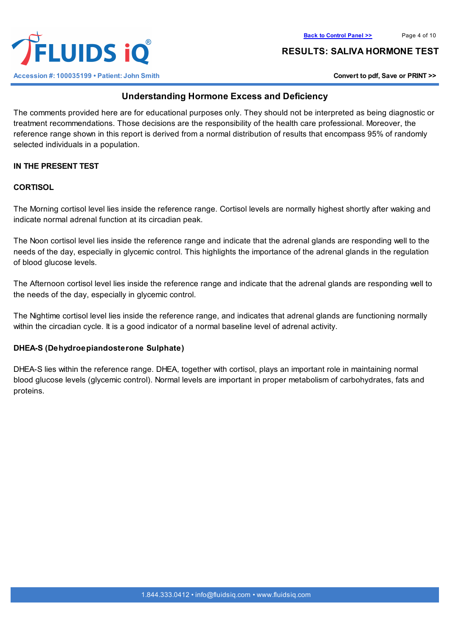



## **Understanding Hormone Excess and Deficiency**

The comments provided here are for educational purposes only. They should not be interpreted as being diagnostic or treatment recommendations. Those decisions are the responsibility of the health care professional. Moreover, the reference range shown in this report is derived from a normal distribution of results that encompass 95% of randomly selected individuals in a population.

## **IN THE PRESENT TEST**

#### **CORTISOL**

The Morning cortisol level lies inside the reference range. Cortisol levels are normally highest shortly after waking and indicate normal adrenal function at its circadian peak.

The Noon cortisol level lies inside the reference range and indicate that the adrenal glands are responding well to the needs of the day, especially in glycemic control. This highlights the importance of the adrenal glands in the regulation of blood glucose levels.

The Afternoon cortisol level lies inside the reference range and indicate that the adrenal glands are responding well to the needs of the day, especially in glycemic control.

The Nightime cortisol level lies inside the reference range, and indicates that adrenal glands are functioning normally within the circadian cycle. It is a good indicator of a normal baseline level of adrenal activity.

#### **DHEA-S (Dehydroepiandosterone Sulphate)**

DHEA-S lies within the reference range. DHEA, together with cortisol, plays an important role in maintaining normal blood glucose levels (glycemic control). Normal levels are important in proper metabolism of carbohydrates, fats and proteins.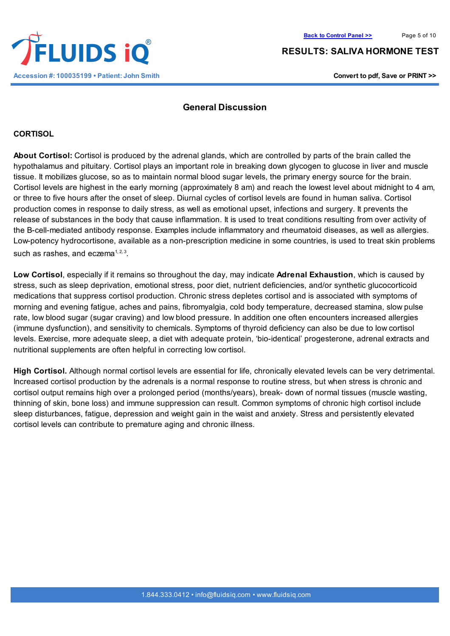## **General Discussion**

#### **CORTISOL**

**About Cortisol:** Cortisol is produced by the adrenal glands, which are controlled by parts of the brain called the hypothalamus and pituitary. Cortisol plays an important role in breaking down glycogen to glucose in liver and muscle tissue. It mobilizes glucose, so as to maintain normal blood sugar levels, the primary energy source for the brain. Cortisol levels are highest in the early morning (approximately 8 am) and reach the lowest level about midnight to 4 am, or three to five hours after the onset of sleep. Diurnal cycles of cortisol levels are found in human saliva. Cortisol production comes in response to daily stress, as well as emotional upset, infections and surgery. It prevents the release of substances in the body that cause inflammation. It is used to treat conditions resulting from over activity of the B-cell-mediated antibody response. Examples include inflammatory and rheumatoid diseases, as well as allergies. Low-potency hydrocortisone, available as a non-prescription medicine in some countries, is used to treat skin problems such as rashes, and eczema $1, 2, 3$ .

**Low Cortisol**, especially if it remains so throughout the day, may indicate **Adrenal Exhaustion**, which is caused by stress, such as sleep deprivation, emotional stress, poor diet, nutrient deficiencies, and/or synthetic glucocorticoid medications that suppress cortisol production. Chronic stress depletes cortisol and is associated with symptoms of morning and evening fatigue, aches and pains, fibromyalgia, cold body temperature, decreased stamina, slow pulse rate, low blood sugar (sugar craving) and low blood pressure. In addition one often encounters increased allergies (immune dysfunction), and sensitivity to chemicals. Symptoms of thyroid deficiency can also be due to low cortisol levels. Exercise, more adequate sleep, a diet with adequate protein, 'bio-identical' progesterone, adrenal extracts and nutritional supplements are often helpful in correcting low cortisol.

**High Cortisol.** Although normal cortisol levels are essential for life, chronically elevated levels can be very detrimental. Increased cortisol production by the adrenals is a normal response to routine stress, but when stress is chronic and cortisol output remains high over a prolonged period (months/years), break- down of normal tissues (muscle wasting, thinning of skin, bone loss) and immune suppression can result. Common symptoms of chronic high cortisol include sleep disturbances, fatigue, depression and weight gain in the waist and anxiety. Stress and persistently elevated cortisol levels can contribute to premature aging and chronic illness.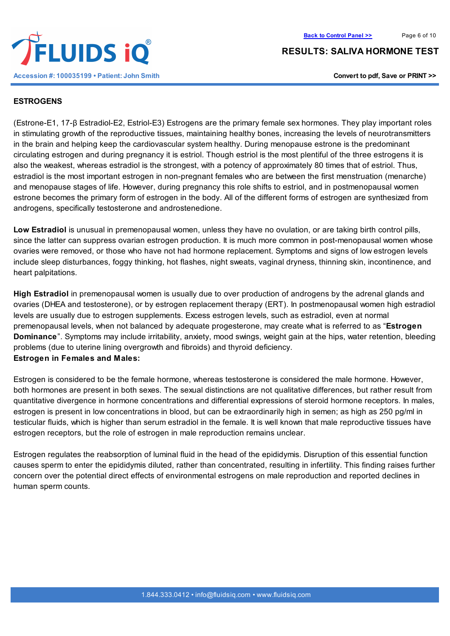#### **ESTROGENS**

(Estrone-E1, 17-β Estradiol-E2, Estriol-E3) Estrogens are the primary female sex hormones. They play important roles in stimulating growth of the reproductive tissues, maintaining healthy bones, increasing the levels of neurotransmitters in the brain and helping keep the cardiovascular system healthy. During menopause estrone is the predominant circulating estrogen and during pregnancy it is estriol. Though estriol is the most plentiful of the three estrogens it is also the weakest, whereas estradiol is the strongest, with a potency of approximately 80 times that of estriol. Thus, estradiol is the most important estrogen in non-pregnant females who are between the first menstruation (menarche) and menopause stages of life. However, during pregnancy this role shifts to estriol, and in postmenopausal women estrone becomes the primary form of estrogen in the body. All of the different forms of estrogen are synthesized from androgens, specifically testosterone and androstenedione.

**Low Estradiol** is unusual in premenopausal women, unless they have no ovulation, or are taking birth control pills, since the latter can suppress ovarian estrogen production. It is much more common in post-menopausal women whose ovaries were removed, or those who have not had hormone replacement. Symptoms and signs of low estrogen levels include sleep disturbances, foggy thinking, hot flashes, night sweats, vaginal dryness, thinning skin, incontinence, and heart palpitations.

**High Estradiol** in premenopausal women is usually due to over production of androgens by the adrenal glands and ovaries (DHEA and testosterone), or by estrogen replacement therapy (ERT). In postmenopausal women high estradiol levels are usually due to estrogen supplements. Excess estrogen levels, such as estradiol, even at normal premenopausal levels, when not balanced by adequate progesterone, may create what is referred to as "**Estrogen Dominance**". Symptoms may include irritability, anxiety, mood swings, weight gain at the hips, water retention, bleeding problems (due to uterine lining overgrowth and fibroids) and thyroid deficiency. **Estrogen in Females and Males:**

Estrogen is considered to be the female hormone, whereas testosterone is considered the male hormone. However, both hormones are present in both sexes. The sexual distinctions are not qualitative differences, but rather result from quantitative divergence in hormone concentrations and differential expressions of steroid hormone receptors. In males, estrogen is present in low concentrations in blood, but can be extraordinarily high in semen; as high as 250 pg/ml in testicular fluids, which is higher than serum estradiol in the female. It is well known that male reproductive tissues have estrogen receptors, but the role of estrogen in male reproduction remains unclear.

Estrogen regulates the reabsorption of luminal fluid in the head of the epididymis. Disruption of this essential function causes sperm to enter the epididymis diluted, rather than concentrated, resulting in infertility. This finding raises further concern over the potential direct effects of environmental estrogens on male reproduction and reported declines in human sperm counts.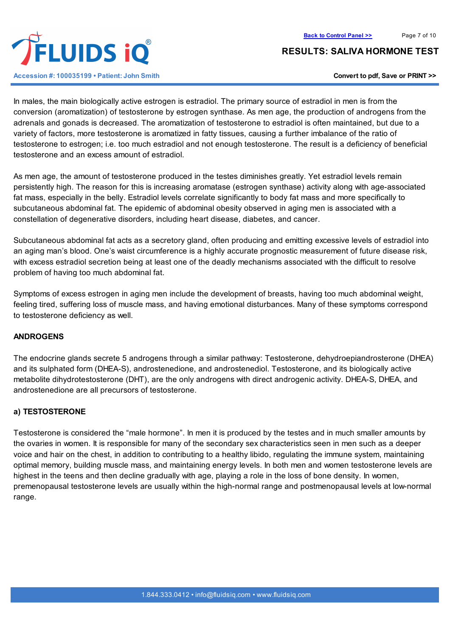

In males, the main biologically active estrogen is estradiol. The primary source of estradiol in men is from the conversion (aromatization) of testosterone by estrogen synthase. As men age, the production of androgens from the adrenals and gonads is decreased. The aromatization of testosterone to estradiol is often maintained, but due to a variety of factors, more testosterone is aromatized in fatty tissues, causing a further imbalance of the ratio of testosterone to estrogen; i.e. too much estradiol and not enough testosterone. The result is a deficiency of beneficial testosterone and an excess amount of estradiol.

As men age, the amount of testosterone produced in the testes diminishes greatly. Yet estradiol levels remain persistently high. The reason for this is increasing aromatase (estrogen synthase) activity along with age-associated fat mass, especially in the belly. Estradiol levels correlate significantly to body fat mass and more specifically to subcutaneous abdominal fat. The epidemic of abdominal obesity observed in aging men is associated with a constellation of degenerative disorders, including heart disease, diabetes, and cancer.

Subcutaneous abdominal fat acts as a secretory gland, often producing and emitting excessive levels of estradiol into an aging man's blood. One's waist circumference is a highly accurate prognostic measurement of future disease risk, with excess estradiol secretion being at least one of the deadly mechanisms associated with the difficult to resolve problem of having too much abdominal fat.

Symptoms of excess estrogen in aging men include the development of breasts, having too much abdominal weight, feeling tired, suffering loss of muscle mass, and having emotional disturbances. Many of these symptoms correspond to testosterone deficiency as well.

## **ANDROGENS**

The endocrine glands secrete 5 androgens through a similar pathway: Testosterone, dehydroepiandrosterone (DHEA) and its sulphated form (DHEA-S), androstenedione, and androstenediol. Testosterone, and its biologically active metabolite dihydrotestosterone (DHT), are the only androgens with direct androgenic activity. DHEA-S, DHEA, and androstenedione are all precursors of testosterone.

## **a) TESTOSTERONE**

Testosterone is considered the "male hormone". In men it is produced by the testes and in much smaller amounts by the ovaries in women. It is responsible for many of the secondary sex characteristics seen in men such as a deeper voice and hair on the chest, in addition to contributing to a healthy libido, regulating the immune system, maintaining optimal memory, building muscle mass, and maintaining energy levels. In both men and women testosterone levels are highest in the teens and then decline gradually with age, playing a role in the loss of bone density. In women, premenopausal testosterone levels are usually within the high-normal range and postmenopausal levels at low-normal range.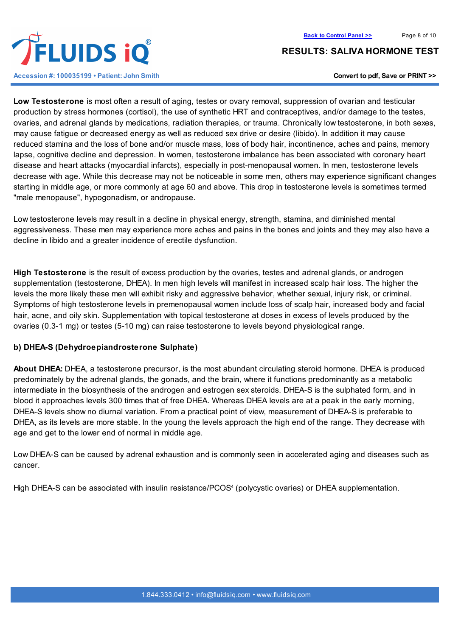

**Low Testosterone** is most often a result of aging, testes or ovary removal, suppression of ovarian and testicular production by stress hormones (cortisol), the use of synthetic HRT and contraceptives, and/or damage to the testes, ovaries, and adrenal glands by medications, radiation therapies, or trauma. Chronically low testosterone, in both sexes, may cause fatigue or decreased energy as well as reduced sex drive or desire (libido). In addition it may cause reduced stamina and the loss of bone and/or muscle mass, loss of body hair, incontinence, aches and pains, memory lapse, cognitive decline and depression. In women, testosterone imbalance has been associated with coronary heart disease and heart attacks (myocardial infarcts), especially in post-menopausal women. In men, testosterone levels decrease with age. While this decrease may not be noticeable in some men, others may experience significant changes starting in middle age, or more commonly at age 60 and above. This drop in testosterone levels is sometimes termed "male menopause", hypogonadism, or andropause.

Low testosterone levels may result in a decline in physical energy, strength, stamina, and diminished mental aggressiveness. These men may experience more aches and pains in the bones and joints and they may also have a decline in libido and a greater incidence of erectile dysfunction.

**High Testosterone** is the result of excess production by the ovaries, testes and adrenal glands, or androgen supplementation (testosterone, DHEA). In men high levels will manifest in increased scalp hair loss. The higher the levels the more likely these men will exhibit risky and aggressive behavior, whether sexual, injury risk, or criminal. Symptoms of high testosterone levels in premenopausal women include loss of scalp hair, increased body and facial hair, acne, and oily skin. Supplementation with topical testosterone at doses in excess of levels produced by the ovaries (0.3-1 mg) or testes (5-10 mg) can raise testosterone to levels beyond physiological range.

## **b) DHEA-S (Dehydroepiandrosterone Sulphate)**

**About DHEA:** DHEA, a testosterone precursor, is the most abundant circulating steroid hormone. DHEA is produced predominately by the adrenal glands, the gonads, and the brain, where it functions predominantly as a metabolic intermediate in the biosynthesis of the androgen and estrogen sex steroids. DHEA-S is the sulphated form, and in blood it approaches levels 300 times that of free DHEA. Whereas DHEA levels are at a peak in the early morning, DHEA-S levels show no diurnal variation. From a practical point of view, measurement of DHEA-S is preferable to DHEA, as its levels are more stable. In the young the levels approach the high end of the range. They decrease with age and get to the lower end of normal in middle age.

Low DHEA-S can be caused by adrenal exhaustion and is commonly seen in accelerated aging and diseases such as cancer.

High DHEA-S can be associated with insulin resistance/PCOS<sup>4</sup> (polycystic ovaries) or DHEA supplementation.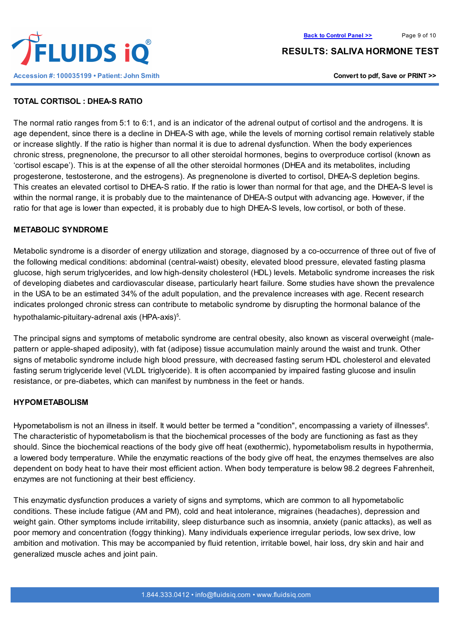



## **TOTAL CORTISOL : DHEA-S RATIO**

The normal ratio ranges from 5:1 to 6:1, and is an indicator of the adrenal output of cortisol and the androgens. It is age dependent, since there is a decline in DHEA-S with age, while the levels of morning cortisol remain relatively stable or increase slightly. If the ratio is higher than normal it is due to adrenal dysfunction. When the body experiences chronic stress, pregnenolone, the precursor to all other steroidal hormones, begins to overproduce cortisol (known as 'cortisol escape'). This is at the expense of all the other steroidal hormones (DHEA and its metabolites, including progesterone, testosterone, and the estrogens). As pregnenolone is diverted to cortisol, DHEA-S depletion begins. This creates an elevated cortisol to DHEA-S ratio. If the ratio is lower than normal for that age, and the DHEA-S level is within the normal range, it is probably due to the maintenance of DHEA-S output with advancing age. However, if the ratio for that age is lower than expected, it is probably due to high DHEA-S levels, low cortisol, or both of these.

## **METABOLIC SYNDROME**

Metabolic syndrome is a disorder of energy utilization and storage, diagnosed by a co-occurrence of three out of five of the following medical conditions: abdominal (central-waist) obesity, elevated blood pressure, elevated fasting plasma glucose, high serum triglycerides, and low high-density cholesterol (HDL) levels. Metabolic syndrome increases the risk of developing diabetes and cardiovascular disease, particularly heart failure. Some studies have shown the prevalence in the USA to be an estimated 34% of the adult population, and the prevalence increases with age. Recent research indicates prolonged chronic stress can contribute to metabolic syndrome by disrupting the hormonal balance of the hypothalamic-pituitary-adrenal axis (HPA-axis)<sup>5</sup>.

The principal signs and symptoms of metabolic syndrome are central obesity, also known as visceral overweight (malepattern or apple-shaped adiposity), with fat (adipose) tissue accumulation mainly around the waist and trunk. Other signs of metabolic syndrome include high blood pressure, with decreased fasting serum HDL cholesterol and elevated fasting serum triglyceride level (VLDL triglyceride). It is often accompanied by impaired fasting glucose and insulin resistance, or pre-diabetes, which can manifest by numbness in the feet or hands.

## **HYPOMETABOLISM**

Hypometabolism is not an illness in itself. It would better be termed a "condition", encompassing a variety of illnesses<sup>6</sup>. The characteristic of hypometabolism is that the biochemical processes of the body are functioning as fast as they should. Since the biochemical reactions of the body give off heat (exothermic), hypometabolism results in hypothermia, a lowered body temperature. While the enzymatic reactions of the body give off heat, the enzymes themselves are also dependent on body heat to have their most efficient action. When body temperature is below 98.2 degrees Fahrenheit, enzymes are not functioning at their best efficiency.

This enzymatic dysfunction produces a variety of signs and symptoms, which are common to all hypometabolic conditions. These include fatigue (AM and PM), cold and heat intolerance, migraines (headaches), depression and weight gain. Other symptoms include irritability, sleep disturbance such as insomnia, anxiety (panic attacks), as well as poor memory and concentration (foggy thinking). Many individuals experience irregular periods, low sex drive, low ambition and motivation. This may be accompanied by fluid retention, irritable bowel, hair loss, dry skin and hair and generalized muscle aches and joint pain.